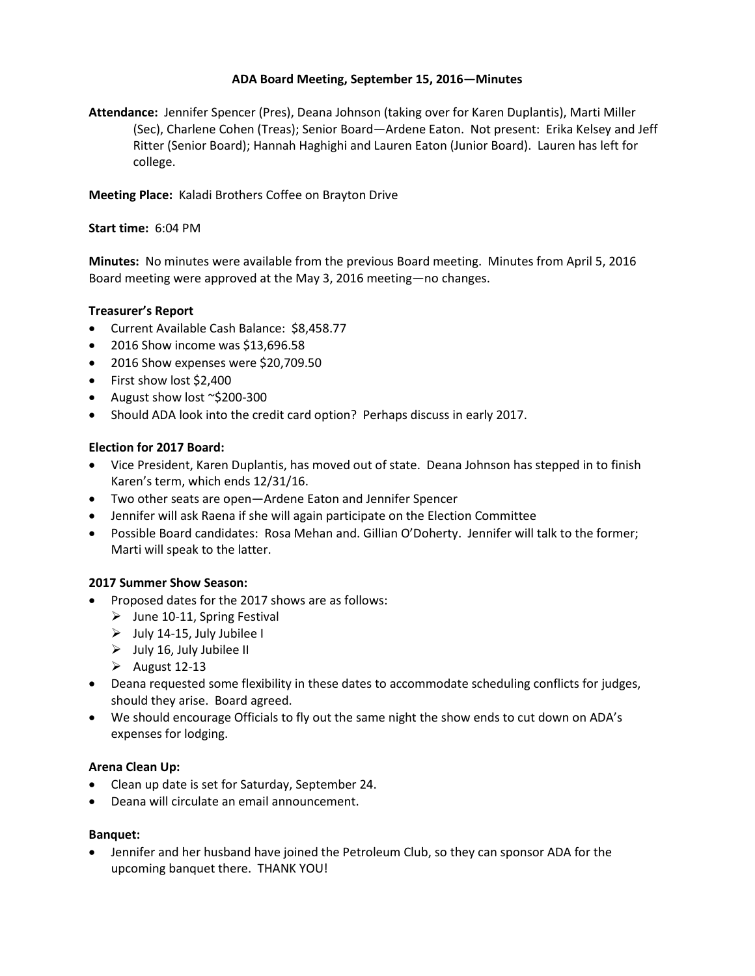# **ADA Board Meeting, September 15, 2016—Minutes**

**Attendance:** Jennifer Spencer (Pres), Deana Johnson (taking over for Karen Duplantis), Marti Miller (Sec), Charlene Cohen (Treas); Senior Board—Ardene Eaton. Not present: Erika Kelsey and Jeff Ritter (Senior Board); Hannah Haghighi and Lauren Eaton (Junior Board). Lauren has left for college.

**Meeting Place:** Kaladi Brothers Coffee on Brayton Drive

### **Start time:** 6:04 PM

**Minutes:** No minutes were available from the previous Board meeting. Minutes from April 5, 2016 Board meeting were approved at the May 3, 2016 meeting—no changes.

### **Treasurer's Report**

- Current Available Cash Balance: \$8,458.77
- 2016 Show income was \$13,696.58
- 2016 Show expenses were \$20,709.50
- First show lost \$2,400
- August show lost ~\$200-300
- Should ADA look into the credit card option? Perhaps discuss in early 2017.

### **Election for 2017 Board:**

- Vice President, Karen Duplantis, has moved out of state. Deana Johnson has stepped in to finish Karen's term, which ends 12/31/16.
- Two other seats are open—Ardene Eaton and Jennifer Spencer
- Jennifer will ask Raena if she will again participate on the Election Committee
- Possible Board candidates: Rosa Mehan and. Gillian O'Doherty. Jennifer will talk to the former; Marti will speak to the latter.

### **2017 Summer Show Season:**

- Proposed dates for the 2017 shows are as follows:
	- $\triangleright$  June 10-11, Spring Festival
	- $\triangleright$  July 14-15, July Jubilee I
	- $\triangleright$  July 16, July Jubilee II
	- $\blacktriangleright$  August 12-13
- Deana requested some flexibility in these dates to accommodate scheduling conflicts for judges, should they arise. Board agreed.
- We should encourage Officials to fly out the same night the show ends to cut down on ADA's expenses for lodging.

#### **Arena Clean Up:**

- Clean up date is set for Saturday, September 24.
- Deana will circulate an email announcement.

#### **Banquet:**

• Jennifer and her husband have joined the Petroleum Club, so they can sponsor ADA for the upcoming banquet there. THANK YOU!